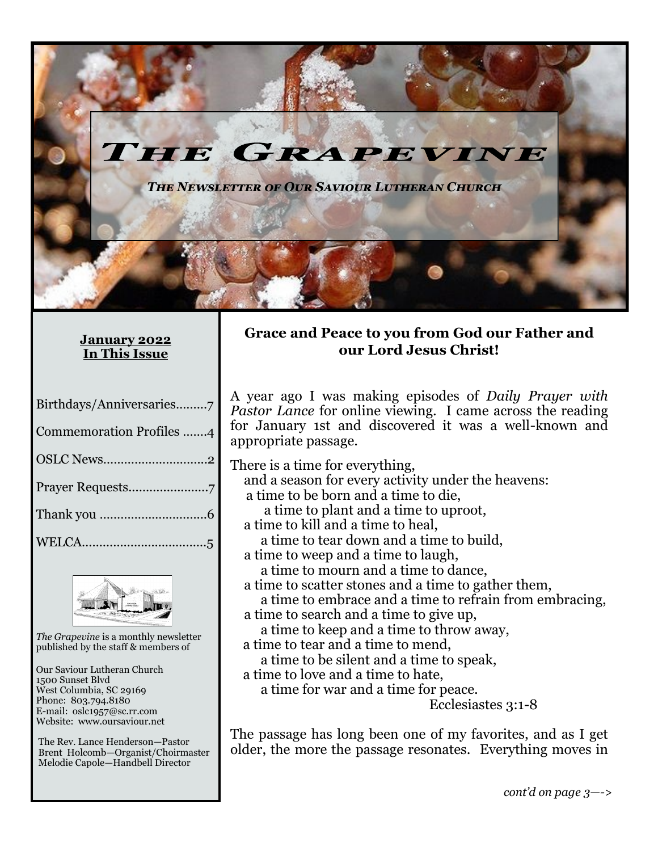

#### **January 2022 In This Issue**

| Birthdays/Anniversaries7 |
|--------------------------|
| Commemoration Profiles 4 |
| OSLC News2               |
|                          |
|                          |
|                          |



*The Grapevine* is a monthly newsletter published by the staff & members of

Our Saviour Lutheran Church 1500 Sunset Blvd West Columbia, SC 29169 Phone: 803.794.8180 E-mail: oslc1957@sc.rr.com Website: www.oursaviour.net

The Rev. Lance Henderson—Pastor Brent Holcomb—Organist/Choirmaster Melodie Capole—Handbell Director

#### **Grace and Peace to you from God our Father and our Lord Jesus Christ!**

A year ago I was making episodes of *Daily Prayer with Pastor Lance* for online viewing. I came across the reading for January 1st and discovered it was a well-known and appropriate passage.

There is a time for everything,

- and a season for every activity under the heavens:
- a time to be born and a time to die,

a time to plant and a time to uproot,

- a time to kill and a time to heal, a time to tear down and a time to build,
- a time to weep and a time to laugh, a time to mourn and a time to dance,
- a time to scatter stones and a time to gather them,
- a time to embrace and a time to refrain from embracing, a time to search and a time to give up,

a time to keep and a time to throw away,

- a time to tear and a time to mend,
	- a time to be silent and a time to speak,
- a time to love and a time to hate,

a time for war and a time for peace.

Ecclesiastes 3:1-8

The passage has long been one of my favorites, and as I get older, the more the passage resonates. Everything moves in

*cont'd on page 3—->*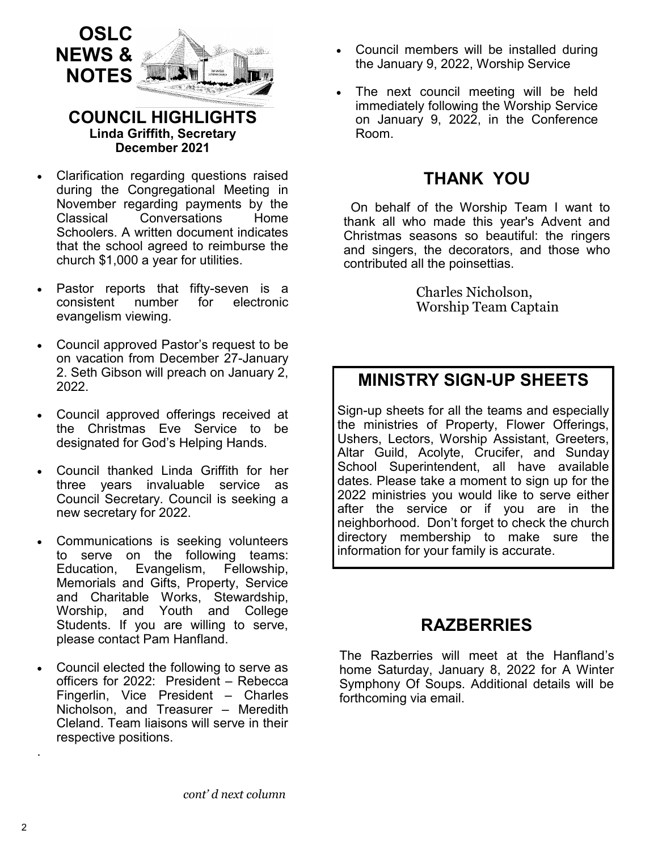

#### **COUNCIL HIGHLIGHTS Linda Griffith, Secretary December 2021**

- Clarification regarding questions raised during the Congregational Meeting in November regarding payments by the Classical Conversations Home Schoolers. A written document indicates that the school agreed to reimburse the church \$1,000 a year for utilities.
- Pastor reports that fifty-seven is a consistent number for electronic evangelism viewing.
- Council approved Pastor's request to be on vacation from December 27-January 2. Seth Gibson will preach on January 2, 2022.
- Council approved offerings received at the Christmas Eve Service to be designated for God's Helping Hands.
- Council thanked Linda Griffith for her three years invaluable service as Council Secretary. Council is seeking a new secretary for 2022.
- Communications is seeking volunteers to serve on the following teams: Education, Evangelism, Fellowship, Memorials and Gifts, Property, Service and Charitable Works, Stewardship, Worship, and Youth and College Students. If you are willing to serve, please contact Pam Hanfland.
- Council elected the following to serve as officers for 2022: President – Rebecca Fingerlin, Vice President – Charles Nicholson, and Treasurer – Meredith Cleland. Team liaisons will serve in their respective positions.
- Council members will be installed during the January 9, 2022, Worship Service
- The next council meeting will be held immediately following the Worship Service on January 9, 2022, in the Conference Room.

### **THANK YOU**

On behalf of the Worship Team I want to thank all who made this year's Advent and Christmas seasons so beautiful: the ringers and singers, the decorators, and those who contributed all the poinsettias.

> Charles Nicholson, Worship Team Captain

# **MINISTRY SIGN-UP SHEETS**

Sign-up sheets for all the teams and especially the ministries of Property, Flower Offerings, Ushers, Lectors, Worship Assistant, Greeters, Altar Guild, Acolyte, Crucifer, and Sunday School Superintendent, all have available dates. Please take a moment to sign up for the 2022 ministries you would like to serve either after the service or if you are in the neighborhood. Don't forget to check the church directory membership to make sure the information for your family is accurate.

## **RAZBERRIES**

The Razberries will meet at the Hanfland's home Saturday, January 8, 2022 for A Winter Symphony Of Soups. Additional details will be forthcoming via email.

.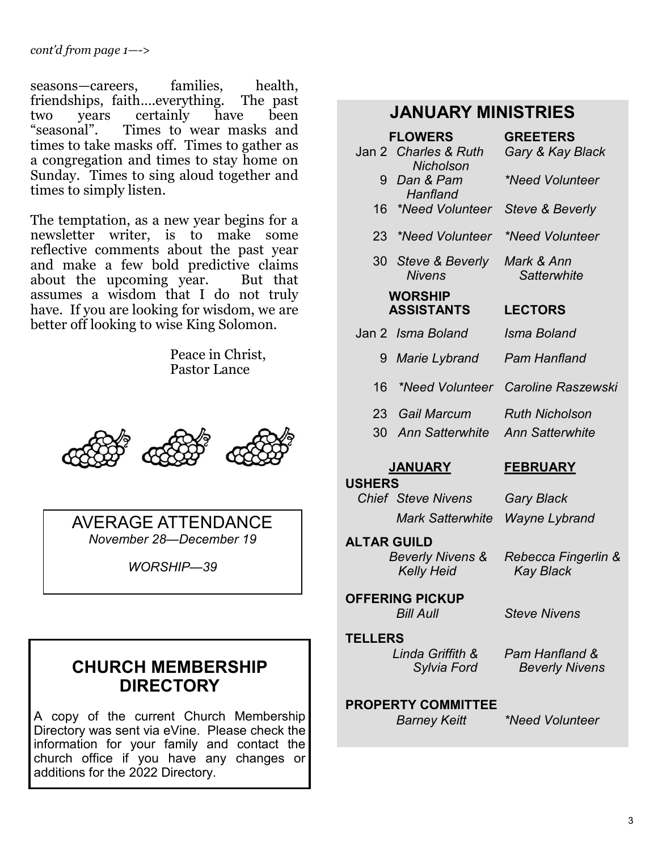seasons—careers, families, health, friendships, faith….everything. The past two years certainly have been "seasonal". Times to wear masks and times to take masks off. Times to gather as a congregation and times to stay home on Sunday. Times to sing aloud together and times to simply listen.

The temptation, as a new year begins for a newsletter writer, is to make some reflective comments about the past year and make a few bold predictive claims about the upcoming year. But that assumes a wisdom that I do not truly have. If you are looking for wisdom, we are better off looking to wise King Solomon.

> Peace in Christ, Pastor Lance



AVERAGE ATTENDANCE *November 28—December 19*

*WORSHIP—39*

# **CHURCH MEMBERSHIP DIRECTORY**

A copy of the current Church Membership Directory was sent via eVine. Please check the information for your family and contact the church office if you have any changes or additions for the 2022 Directory.

## **JANUARY MINISTRIES**

| <b>FLOWERS</b>                                                      |                                                  | <b>GREETERS</b>                         |  |
|---------------------------------------------------------------------|--------------------------------------------------|-----------------------------------------|--|
|                                                                     | Jan 2 Charles & Ruth<br><b>Nicholson</b>         | Gary & Kay Black                        |  |
| 9                                                                   | Dan & Pam<br>Hanfland                            | *Need Volunteer                         |  |
| 16                                                                  | *Need Volunteer                                  | <b>Steve &amp; Beverly</b>              |  |
| 23 <sub>2</sub>                                                     | <i>*Need Volunteer</i>                           | *Need Volunteer                         |  |
|                                                                     | 30 Steve & Beverly<br><b>Nivens</b>              | Mark & Ann<br>Satterwhite               |  |
| <b>WORSHIP</b><br><b>ASSISTANTS</b>                                 |                                                  | <b>LECTORS</b>                          |  |
|                                                                     | Jan 2 Isma Boland                                | Isma Boland                             |  |
| 9                                                                   | Marie Lybrand                                    | Pam Hanfland                            |  |
| 16                                                                  |                                                  | *Need Volunteer Caroline Raszewski      |  |
| 23 <sup>7</sup>                                                     | <b>Gail Marcum</b>                               | <b>Ruth Nicholson</b>                   |  |
| 30                                                                  | <b>Ann Satterwhite</b>                           | <b>Ann Satterwhite</b>                  |  |
| <b>JANUARY</b>                                                      |                                                  | <b>FEBRUARY</b>                         |  |
| <b>USHERS</b>                                                       | <b>Chief Steve Nivens</b>                        |                                         |  |
|                                                                     | <b>Mark Satterwhite</b>                          | Gary Black                              |  |
| <b>Wayne Lybrand</b><br><b>ALTAR GUILD</b>                          |                                                  |                                         |  |
|                                                                     | <b>Beverly Nivens &amp;</b><br><b>Kelly Heid</b> | Rebecca Fingerlin &<br><b>Kay Black</b> |  |
|                                                                     | <b>OFFERING PICKUP</b><br><b>Bill Aull</b>       | <b>Steve Nivens</b>                     |  |
| <b>TELLERS</b>                                                      |                                                  |                                         |  |
|                                                                     | Linda Griffith &<br>Sylvia Ford                  | Pam Hanfland &<br><b>Beverly Nivens</b> |  |
| <b>PROPERTY COMMITTEE</b><br>*Need Volunteer<br><b>Barney Keitt</b> |                                                  |                                         |  |
|                                                                     |                                                  |                                         |  |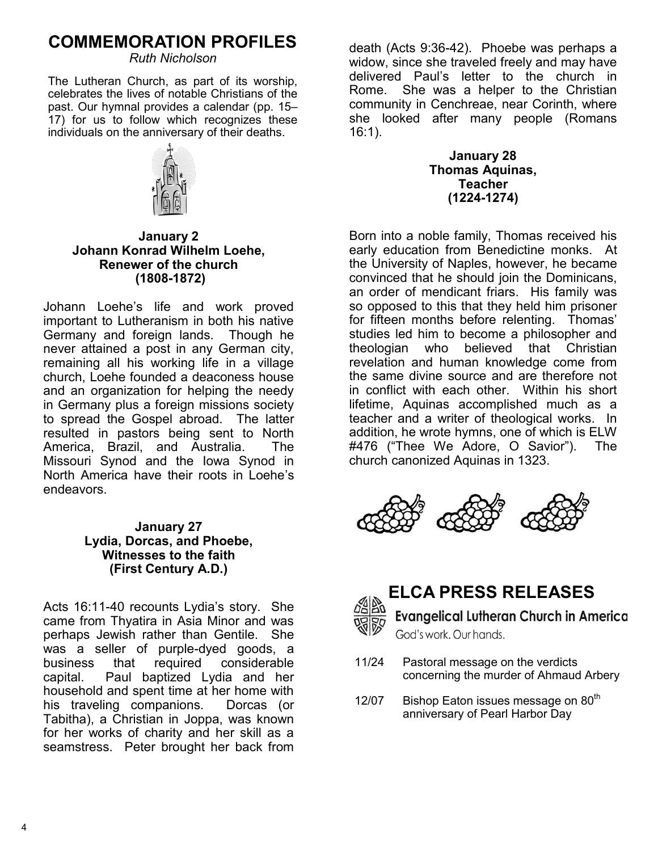# **COMMEMORATION PROFILES**

*Ruth Nicholson*

The Lutheran Church, as part of its worship, celebrates the lives of notable Christians of the past. Our hymnal provides a calendar (pp. 15– 17) for us to follow which recognizes these individuals on the anniversary of their deaths.



**January 2 Johann Konrad Wilhelm Loehe, Renewer of the church (1808-1872)**

Johann Loehe's life and work proved important to Lutheranism in both his native Germany and foreign lands. Though he never attained a post in any German city, remaining all his working life in a village church, Loehe founded a deaconess house and an organization for helping the needy in Germany plus a foreign missions society to spread the Gospel abroad. The latter resulted in pastors being sent to North America, Brazil, and Australia. The Missouri Synod and the Iowa Synod in North America have their roots in Loehe's endeavors.

#### **January 27 Lydia, Dorcas, and Phoebe, Witnesses to the faith (First Century A.D.)**

Acts 16:11-40 recounts Lydia's story. She came from Thyatira in Asia Minor and was perhaps Jewish rather than Gentile. She was a seller of purple-dyed goods, a business that required considerable capital. Paul baptized Lydia and her household and spent time at her home with his traveling companions. Dorcas (or Tabitha), a Christian in Joppa, was known for her works of charity and her skill as a seamstress. Peter brought her back from death (Acts 9:36-42). Phoebe was perhaps a widow, since she traveled freely and may have delivered Paul's letter to the church in Rome. She was a helper to the Christian community in Cenchreae, near Corinth, where she looked after many people (Romans 16:1).

> **January 28 Thomas Aquinas, Teacher (1224-1274)**

Born into a noble family, Thomas received his early education from Benedictine monks. At the University of Naples, however, he became convinced that he should join the Dominicans, an order of mendicant friars. His family was so opposed to this that they held him prisoner for fifteen months before relenting. Thomas' studies led him to become a philosopher and theologian who believed that Christian revelation and human knowledge come from the same divine source and are therefore not in conflict with each other. Within his short lifetime, Aquinas accomplished much as a teacher and a writer of theological works. In addition, he wrote hymns, one of which is ELW #476 ("Thee We Adore, O Savior"). The church canonized Aquinas in 1323.





# **ELCA PRESS RELEASES**

**Evangelical Lutheran Church in America** God's work, Our hands,

- 11/24 Pastoral message on the verdicts concerning the murder of Ahmaud Arbery
- 12/07 Bishop Eaton issues message on 80<sup>th</sup> anniversary of Pearl Harbor Day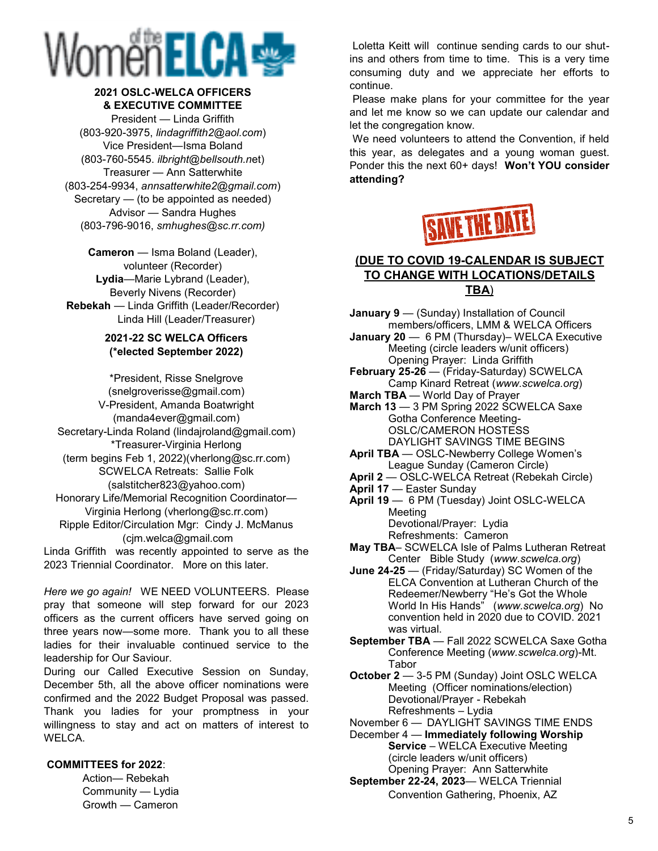# Vomëi ELCA

#### **2021 OSLC-WELCA OFFICERS & EXECUTIVE COMMITTEE**

President — Linda Griffith (803-920-3975, *lindagriffith2@aol.com*) Vice President—Isma Boland (803-760-5545. *ilbright@bellsouth.n*et) Treasurer — Ann Satterwhite (803-254-9934, *annsatterwhite2@gmail.com*) Secretary — (to be appointed as needed) Advisor — Sandra Hughes (803-796-9016, *smhughes@sc.rr.com)*

**Cameron** — Isma Boland (Leader), volunteer (Recorder) **Lydia**—Marie Lybrand (Leader), Beverly Nivens (Recorder) **Rebekah** — Linda Griffith (Leader/Recorder) Linda Hill (Leader/Treasurer)

#### **2021-22 SC WELCA Officers (\*elected September 2022)**

\*President, Risse Snelgrove (snelgroverisse@gmail.com) V-President, Amanda Boatwright (manda4ever@gmail.com) Secretary-Linda Roland (lindajroland@gmail.com) \*Treasurer-Virginia Herlong (term begins Feb 1, 2022)(vherlong@sc.rr.com) SCWELCA Retreats: Sallie Folk (salstitcher823@yahoo.com) Honorary Life/Memorial Recognition Coordinator— Virginia Herlong (vherlong@sc.rr.com) Ripple Editor/Circulation Mgr: Cindy J. McManus (cjm.welca@gmail.com

Linda Griffith was recently appointed to serve as the 2023 Triennial Coordinator. More on this later.

*Here we go again!* WE NEED VOLUNTEERS. Please pray that someone will step forward for our 2023 officers as the current officers have served going on three years now—some more. Thank you to all these ladies for their invaluable continued service to the leadership for Our Saviour.

During our Called Executive Session on Sunday, December 5th, all the above officer nominations were confirmed and the 2022 Budget Proposal was passed. Thank you ladies for your promptness in your willingness to stay and act on matters of interest to WELCA.

#### **COMMITTEES for 2022**:

Action— Rebekah Community — Lydia Growth — Cameron

Loletta Keitt will continue sending cards to our shutins and others from time to time. This is a very time consuming duty and we appreciate her efforts to continue.

Please make plans for your committee for the year and let me know so we can update our calendar and let the congregation know.

We need volunteers to attend the Convention, if held this year, as delegates and a young woman guest. Ponder this the next 60+ days! **Won't YOU consider attending?** 



#### **(DUE TO COVID 19-CALENDAR IS SUBJECT TO CHANGE WITH LOCATIONS/DETAILS TBA**)

- **January 9** (Sunday) Installation of Council members/officers, LMM & WELCA Officers
- **January 20**  6 PM (Thursday)– WELCA Executive Meeting (circle leaders w/unit officers) Opening Prayer: Linda Griffith
- **February 25-26**  (Friday-Saturday) SCWELCA Camp Kinard Retreat (*www.scwelca.org*)
- **March TBA**  World Day of Prayer
- **March 13**  3 PM Spring 2022 SCWELCA Saxe Gotha Conference Meeting-OSLC/CAMERON HOSTESS DAYLIGHT SAVINGS TIME BEGINS
- **April TBA**  OSLC-Newberry College Women's League Sunday (Cameron Circle)
- **April 2**  OSLC-WELCA Retreat (Rebekah Circle)
- **April 17**  Easter Sunday
- **April 19**  6 PM (Tuesday) Joint OSLC-WELCA Meeting Devotional/Prayer: Lydia
- Refreshments: Cameron **May TBA**– SCWELCA Isle of Palms Lutheran Retreat Center Bible Study (*www.scwelca.org*)
- **June 24-25**  (Friday/Saturday) SC Women of the ELCA Convention at Lutheran Church of the Redeemer/Newberry "He's Got the Whole World In His Hands" (*www.scwelca.org*) No convention held in 2020 due to COVID. 2021 was virtual.
- **September TBA**  Fall 2022 SCWELCA Saxe Gotha Conference Meeting (*www.scwelca.org*)-Mt. Tabor
- **October 2**  3-5 PM (Sunday) Joint OSLC WELCA Meeting (Officer nominations/election) Devotional/Prayer - Rebekah Refreshments – Lydia

November 6 — DAYLIGHT SAVINGS TIME ENDS

- December 4 **Immediately following Worship Service** – WELCA Executive Meeting (circle leaders w/unit officers) Opening Prayer: Ann Satterwhite
- **September 22-24, 2023** WELCA Triennial Convention Gathering, Phoenix, AZ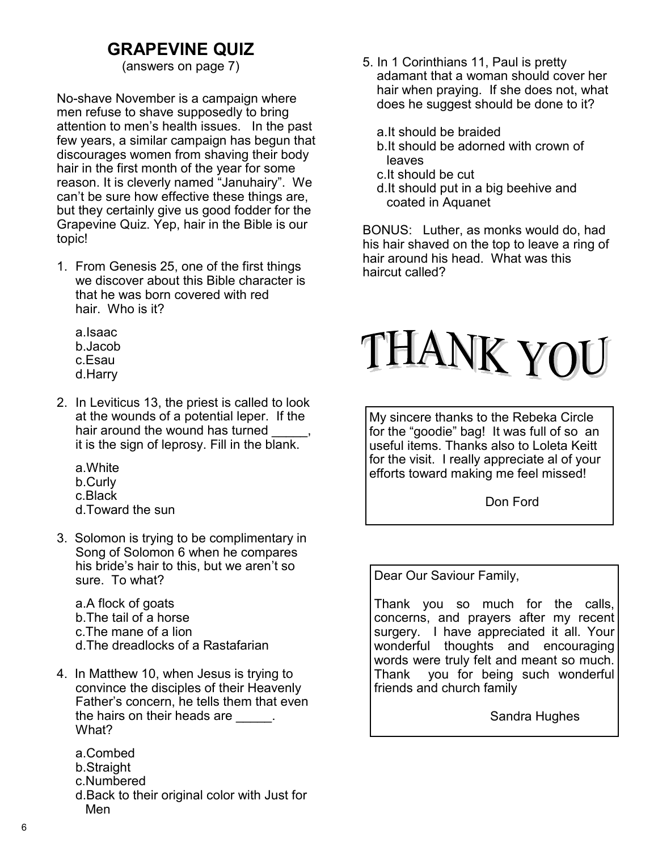# **GRAPEVINE QUIZ**

No-shave November is a campaign where men refuse to shave supposedly to bring attention to men's health issues. In the past few years, a similar campaign has begun that discourages women from shaving their body hair in the first month of the year for some reason. It is cleverly named "Januhairy". We can't be sure how effective these things are, but they certainly give us good fodder for the Grapevine Quiz. Yep, hair in the Bible is our topic!

- 1. From Genesis 25, one of the first things we discover about this Bible character is that he was born covered with red hair. Who is it?
	- a.Isaac b.Jacob c.Esau d.Harry
- 2. In Leviticus 13, the priest is called to look at the wounds of a potential leper. If the hair around the wound has turned it is the sign of leprosy. Fill in the blank.
	- a.White b.Curly c.Black d.Toward the sun
- 3. Solomon is trying to be complimentary in Song of Solomon 6 when he compares his bride's hair to this, but we aren't so sure. To what?

a.A flock of goats b.The tail of a horse c.The mane of a lion d.The dreadlocks of a Rastafarian

- 4. In Matthew 10, when Jesus is trying to convince the disciples of their Heavenly Father's concern, he tells them that even the hairs on their heads are  $\qquad \qquad$ . What?
	- a.Combed b.Straight c.Numbered d.Back to their original color with Just for Men
- (answers on page 7) 5. In 1 Corinthians 11, Paul is pretty adamant that a woman should cover her hair when praying. If she does not, what does he suggest should be done to it?
	- a.It should be braided
	- b.It should be adorned with crown of leaves
	- c.It should be cut
	- d.It should put in a big beehive and coated in Aquanet

BONUS: Luther, as monks would do, had his hair shaved on the top to leave a ring of hair around his head. What was this haircut called?



My sincere thanks to the Rebeka Circle for the "goodie" bag! It was full of so an useful items. Thanks also to Loleta Keitt for the visit. I really appreciate al of your efforts toward making me feel missed!

Don Ford

Dear Our Saviour Family,

Thank you so much for the calls, concerns, and prayers after my recent surgery. I have appreciated it all. Your wonderful thoughts and encouraging words were truly felt and meant so much. Thank you for being such wonderful friends and church family

Sandra Hughes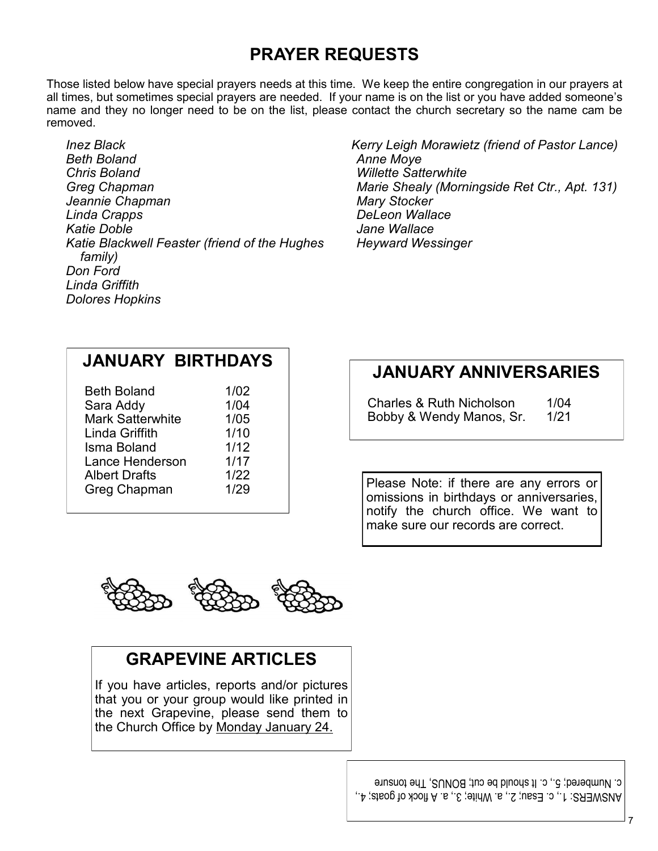# **PRAYER REQUESTS**

Those listed below have special prayers needs at this time. We keep the entire congregation in our prayers at all times, but sometimes special prayers are needed. If your name is on the list or you have added someone's name and they no longer need to be on the list, please contact the church secretary so the name cam be removed.

*Inez Black Beth Boland Chris Boland Greg Chapman Jeannie Chapman Linda Crapps Katie Doble Katie Blackwell Feaster (friend of the Hughes family) Don Ford Linda Griffith Dolores Hopkins*

*Kerry Leigh Morawietz (friend of Pastor Lance) Anne Moye Willette Satterwhite Marie Shealy (Morningside Ret Ctr., Apt. 131) Mary Stocker DeLeon Wallace Jane Wallace Heyward Wessinger*

# **JANUARY BIRTHDAYS**

| <b>Beth Boland</b>      | 1/02 |
|-------------------------|------|
| Sara Addy               | 1/04 |
| <b>Mark Satterwhite</b> | 1/05 |
| Linda Griffith          | 1/10 |
| Isma Boland             | 1/12 |
| Lance Henderson         | 1/17 |
| <b>Albert Drafts</b>    | 1/22 |
| Greg Chapman            | 1/29 |
|                         |      |

# **JANUARY ANNIVERSARIES**

Charles & Ruth Nicholson 1/04 Bobby & Wendy Manos, Sr. 1/21

Please Note: if there are any errors or omissions in birthdays or anniversaries, notify the church office. We want to make sure our records are correct.



# **GRAPEVINE ARTICLES**

If you have articles, reports and/or pictures that you or your group would like printed in the next Grapevine, please send them to the Church Office by Monday January 24.

> ANSWERS: 1., c. Esau; 2., a. White; 3., a. A flock of goats; 4., c. Numbered; 5., c. It should be cut; BONUS, The tonsure

> > 7